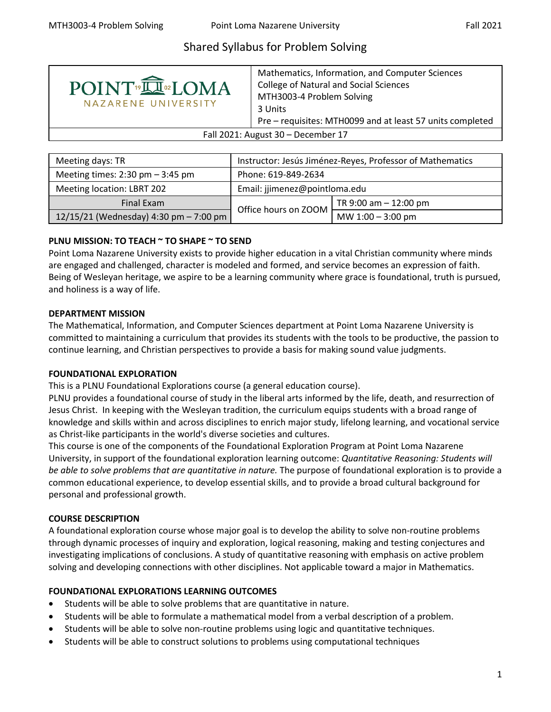# Shared Syllabus for Problem Solving



Mathematics, Information, and Computer Sciences College of Natural and Social Sciences MTH3003-4 Problem Solving 3 Units Pre – requisites: MTH0099 and at least 57 units completed

Fall 2021: August 30 – December 17

| Meeting days: TR                       | Instructor: Jesús Jiménez-Reyes, Professor of Mathematics |                         |  |
|----------------------------------------|-----------------------------------------------------------|-------------------------|--|
| Meeting times: $2:30$ pm $-3:45$ pm    | Phone: 619-849-2634                                       |                         |  |
| Meeting location: LBRT 202             | Email: jjimenez@pointloma.edu                             |                         |  |
| Final Exam                             |                                                           | TR 9:00 am $-$ 12:00 pm |  |
| 12/15/21 (Wednesday) 4:30 pm - 7:00 pm | Office hours on ZOOM                                      | MW $1:00 - 3:00$ pm     |  |

## **PLNU MISSION: TO TEACH ~ TO SHAPE ~ TO SEND**

Point Loma Nazarene University exists to provide higher education in a vital Christian community where minds are engaged and challenged, character is modeled and formed, and service becomes an expression of faith. Being of Wesleyan heritage, we aspire to be a learning community where grace is foundational, truth is pursued, and holiness is a way of life.

## **DEPARTMENT MISSION**

The Mathematical, Information, and Computer Sciences department at Point Loma Nazarene University is committed to maintaining a curriculum that provides its students with the tools to be productive, the passion to continue learning, and Christian perspectives to provide a basis for making sound value judgments.

## **FOUNDATIONAL EXPLORATION**

This is a PLNU Foundational Explorations course (a general education course).

PLNU provides a foundational course of study in the liberal arts informed by the life, death, and resurrection of Jesus Christ. In keeping with the Wesleyan tradition, the curriculum equips students with a broad range of knowledge and skills within and across disciplines to enrich major study, lifelong learning, and vocational service as Christ-like participants in the world's diverse societies and cultures.

This course is one of the components of the Foundational Exploration Program at Point Loma Nazarene University, in support of the foundational exploration learning outcome: *Quantitative Reasoning: Students will be able to solve problems that are quantitative in nature.* The purpose of foundational exploration is to provide a common educational experience, to develop essential skills, and to provide a broad cultural background for personal and professional growth.

## **COURSE DESCRIPTION**

A foundational exploration course whose major goal is to develop the ability to solve non-routine problems through dynamic processes of inquiry and exploration, logical reasoning, making and testing conjectures and investigating implications of conclusions. A study of quantitative reasoning with emphasis on active problem solving and developing connections with other disciplines. Not applicable toward a major in Mathematics.

## **FOUNDATIONAL EXPLORATIONS LEARNING OUTCOMES**

- Students will be able to solve problems that are quantitative in nature.
- Students will be able to formulate a mathematical model from a verbal description of a problem.
- Students will be able to solve non-routine problems using logic and quantitative techniques.
- Students will be able to construct solutions to problems using computational techniques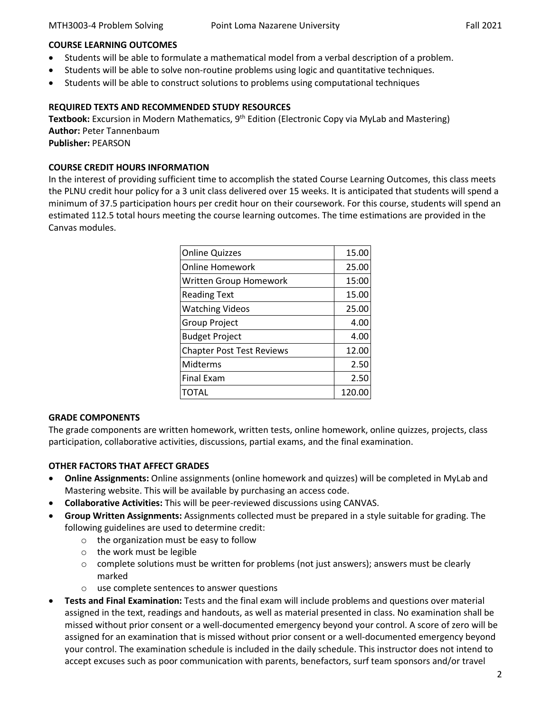#### **COURSE LEARNING OUTCOMES**

- Students will be able to formulate a mathematical model from a verbal description of a problem.
- Students will be able to solve non-routine problems using logic and quantitative techniques.
- Students will be able to construct solutions to problems using computational techniques

#### **REQUIRED TEXTS AND RECOMMENDED STUDY RESOURCES**

**Textbook:** Excursion in Modern Mathematics, 9<sup>th</sup> Edition (Electronic Copy via MyLab and Mastering) **Author:** Peter Tannenbaum

**Publisher:** PEARSON

#### **COURSE CREDIT HOURS INFORMATION**

In the interest of providing sufficient time to accomplish the stated Course Learning Outcomes, this class meets the PLNU credit hour policy for a 3 unit class delivered over 15 weeks. It is anticipated that students will spend a minimum of 37.5 participation hours per credit hour on their coursework. For this course, students will spend an estimated 112.5 total hours meeting the course learning outcomes. The time estimations are provided in the Canvas modules.

| <b>Online Quizzes</b>            | 15.00  |
|----------------------------------|--------|
| <b>Online Homework</b>           | 25.00  |
| Written Group Homework           | 15:00  |
| <b>Reading Text</b>              | 15.00  |
| <b>Watching Videos</b>           | 25.00  |
| <b>Group Project</b>             | 4.00   |
| <b>Budget Project</b>            | 4.00   |
| <b>Chapter Post Test Reviews</b> | 12.00  |
| Midterms                         | 2.50   |
| <b>Final Exam</b>                | 2.50   |
| TOTAL                            | 120.00 |

#### **GRADE COMPONENTS**

The grade components are written homework, written tests, online homework, online quizzes, projects, class participation, collaborative activities, discussions, partial exams, and the final examination.

## **OTHER FACTORS THAT AFFECT GRADES**

- **Online Assignments:** Online assignments (online homework and quizzes) will be completed in MyLab and Mastering website. This will be available by purchasing an access code.
- **Collaborative Activities:** This will be peer-reviewed discussions using CANVAS.
- **Group Written Assignments:** Assignments collected must be prepared in a style suitable for grading. The following guidelines are used to determine credit:
	- o the organization must be easy to follow
	- o the work must be legible
	- $\circ$  complete solutions must be written for problems (not just answers); answers must be clearly marked
	- o use complete sentences to answer questions
- **Tests and Final Examination:** Tests and the final exam will include problems and questions over material assigned in the text, readings and handouts, as well as material presented in class. No examination shall be missed without prior consent or a well-documented emergency beyond your control. A score of zero will be assigned for an examination that is missed without prior consent or a well-documented emergency beyond your control. The examination schedule is included in the daily schedule. This instructor does not intend to accept excuses such as poor communication with parents, benefactors, surf team sponsors and/or travel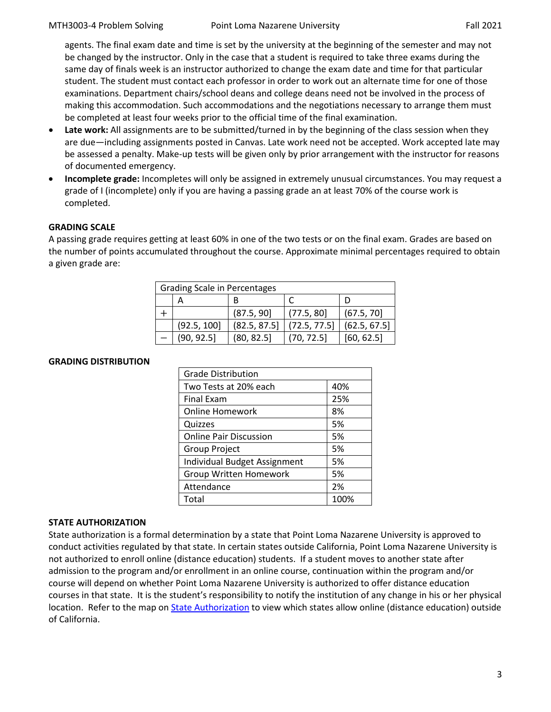agents. The final exam date and time is set by the university at the beginning of the semester and may not be changed by the instructor. Only in the case that a student is required to take three exams during the same day of finals week is an instructor authorized to change the exam date and time for that particular student. The student must contact each professor in order to work out an alternate time for one of those examinations. Department chairs/school deans and college deans need not be involved in the process of making this accommodation. Such accommodations and the negotiations necessary to arrange them must be completed at least four weeks prior to the official time of the final examination.

- Late work: All assignments are to be submitted/turned in by the beginning of the class session when they are due—including assignments posted in Canvas. Late work need not be accepted. Work accepted late may be assessed a penalty. Make-up tests will be given only by prior arrangement with the instructor for reasons of documented emergency.
- **Incomplete grade:** Incompletes will only be assigned in extremely unusual circumstances. You may request a grade of I (incomplete) only if you are having a passing grade an at least 70% of the course work is completed.

## **GRADING SCALE**

A passing grade requires getting at least 60% in one of the two tests or on the final exam. Grades are based on the number of points accumulated throughout the course. Approximate minimal percentages required to obtain a given grade are:

| <b>Grading Scale in Percentages</b> |             |              |              |              |
|-------------------------------------|-------------|--------------|--------------|--------------|
|                                     |             | B            |              |              |
|                                     |             | (87.5, 90]   | (77.5, 80)   | (67.5, 70)   |
|                                     | (92.5, 100] | (82.5, 87.5) | (72.5, 77.5) | (62.5, 67.5) |
|                                     | (90, 92.5)  | (80, 82.5)   | (70, 72.5)   | [60, 62.5]   |

#### **GRADING DISTRIBUTION**

| <b>Grade Distribution</b>     |      |  |  |
|-------------------------------|------|--|--|
| Two Tests at 20% each         | 40%  |  |  |
| <b>Final Exam</b>             | 25%  |  |  |
| <b>Online Homework</b>        | 8%   |  |  |
| Quizzes                       | 5%   |  |  |
| <b>Online Pair Discussion</b> | 5%   |  |  |
| <b>Group Project</b>          | 5%   |  |  |
| Individual Budget Assignment  | 5%   |  |  |
| <b>Group Written Homework</b> | 5%   |  |  |
| Attendance                    | 2%   |  |  |
| Total                         | 100% |  |  |

#### **STATE AUTHORIZATION**

State authorization is a formal determination by a state that Point Loma Nazarene University is approved to conduct activities regulated by that state. In certain states outside California, Point Loma Nazarene University is not authorized to enroll online (distance education) students. If a student moves to another state after admission to the program and/or enrollment in an online course, continuation within the program and/or course will depend on whether Point Loma Nazarene University is authorized to offer distance education courses in that state. It is the student's responsibility to notify the institution of any change in his or her physical location. Refer to the map on [State Authorization](https://www.pointloma.edu/offices/office-institutional-effectiveness-research/disclosures) to view which states allow online (distance education) outside of California.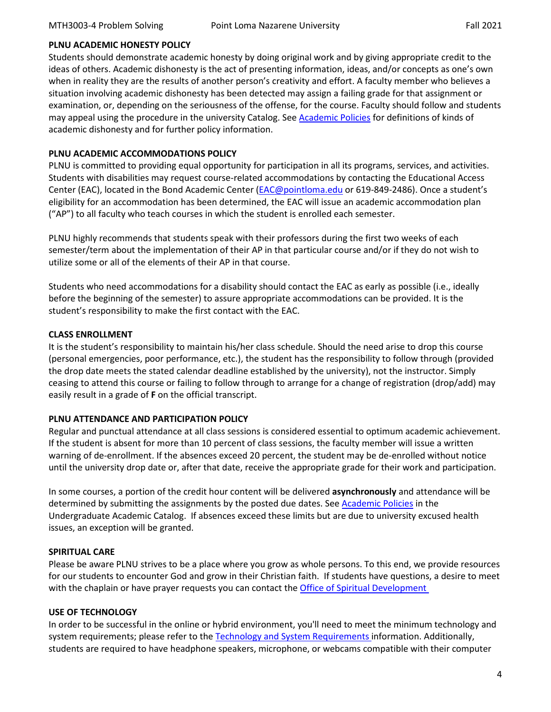#### **PLNU ACADEMIC HONESTY POLICY**

Students should demonstrate academic honesty by doing original work and by giving appropriate credit to the ideas of others. Academic dishonesty is the act of presenting information, ideas, and/or concepts as one's own when in reality they are the results of another person's creativity and effort. A faculty member who believes a situation involving academic dishonesty has been detected may assign a failing grade for that assignment or examination, or, depending on the seriousness of the offense, for the course. Faculty should follow and students may appeal using the procedure in the university Catalog. See [Academic Policies](http://catalog.pointloma.edu/content.php?catoid=18&navoid=1278) for definitions of kinds of academic dishonesty and for further policy information.

#### **PLNU ACADEMIC ACCOMMODATIONS POLICY**

PLNU is committed to providing equal opportunity for participation in all its programs, services, and activities. Students with disabilities may request course-related accommodations by contacting the Educational Access Center (EAC), located in the Bond Academic Center [\(EAC@pointloma.edu](mailto:EAC@pointloma.edu) or 619-849-2486). Once a student's eligibility for an accommodation has been determined, the EAC will issue an academic accommodation plan ("AP") to all faculty who teach courses in which the student is enrolled each semester.

PLNU highly recommends that students speak with their professors during the first two weeks of each semester/term about the implementation of their AP in that particular course and/or if they do not wish to utilize some or all of the elements of their AP in that course.

Students who need accommodations for a disability should contact the EAC as early as possible (i.e., ideally before the beginning of the semester) to assure appropriate accommodations can be provided. It is the student's responsibility to make the first contact with the EAC.

#### **CLASS ENROLLMENT**

It is the student's responsibility to maintain his/her class schedule. Should the need arise to drop this course (personal emergencies, poor performance, etc.), the student has the responsibility to follow through (provided the drop date meets the stated calendar deadline established by the university), not the instructor. Simply ceasing to attend this course or failing to follow through to arrange for a change of registration (drop/add) may easily result in a grade of **F** on the official transcript.

#### **PLNU ATTENDANCE AND PARTICIPATION POLICY**

Regular and punctual attendance at all class sessions is considered essential to optimum academic achievement. If the student is absent for more than 10 percent of class sessions, the faculty member will issue a written warning of de-enrollment. If the absences exceed 20 percent, the student may be de-enrolled without notice until the university drop date or, after that date, receive the appropriate grade for their work and participation.

In some courses, a portion of the credit hour content will be delivered **asynchronously** and attendance will be determined by submitting the assignments by the posted due dates. See [Academic Policies](https://catalog.pointloma.edu/content.php?catoid=52&navoid=2919#Academic_Honesty) in the Undergraduate Academic Catalog. If absences exceed these limits but are due to university excused health issues, an exception will be granted.

#### **SPIRITUAL CARE**

Please be aware PLNU strives to be a place where you grow as whole persons. To this end, we provide resources for our students to encounter God and grow in their Christian faith. If students have questions, a desire to meet with the chaplain or have prayer requests you can contact the **Office of Spiritual Development** 

## **USE OF TECHNOLOGY**

In order to be successful in the online or hybrid environment, you'll need to meet the minimum technology and system requirements; please refer to the [Technology and System Requirements i](https://help.pointloma.edu/TDClient/1808/Portal/KB/ArticleDet?ID=108349)nformation. Additionally, students are required to have headphone speakers, microphone, or webcams compatible with their computer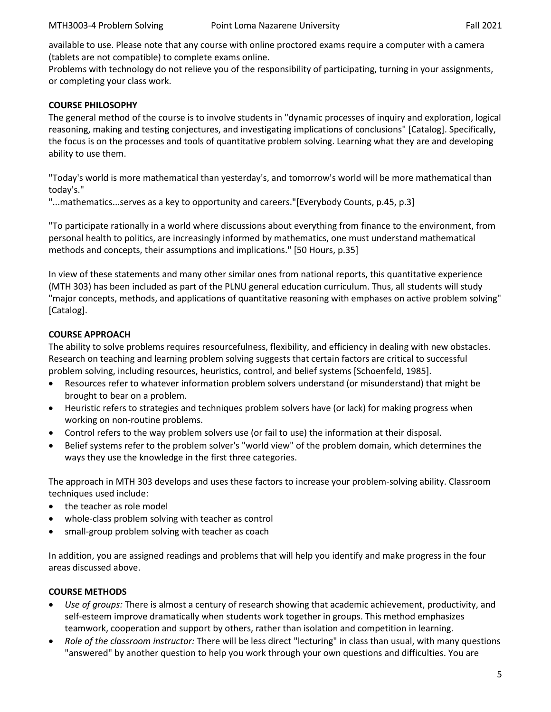available to use. Please note that any course with online proctored exams require a computer with a camera (tablets are not compatible) to complete exams online.

Problems with technology do not relieve you of the responsibility of participating, turning in your assignments, or completing your class work.

#### **COURSE PHILOSOPHY**

The general method of the course is to involve students in "dynamic processes of inquiry and exploration, logical reasoning, making and testing conjectures, and investigating implications of conclusions" [Catalog]. Specifically, the focus is on the processes and tools of quantitative problem solving. Learning what they are and developing ability to use them.

"Today's world is more mathematical than yesterday's, and tomorrow's world will be more mathematical than today's."

"...mathematics...serves as a key to opportunity and careers."[Everybody Counts, p.45, p.3]

"To participate rationally in a world where discussions about everything from finance to the environment, from personal health to politics, are increasingly informed by mathematics, one must understand mathematical methods and concepts, their assumptions and implications." [50 Hours, p.35]

In view of these statements and many other similar ones from national reports, this quantitative experience (MTH 303) has been included as part of the PLNU general education curriculum. Thus, all students will study "major concepts, methods, and applications of quantitative reasoning with emphases on active problem solving" [Catalog].

## **COURSE APPROACH**

The ability to solve problems requires resourcefulness, flexibility, and efficiency in dealing with new obstacles. Research on teaching and learning problem solving suggests that certain factors are critical to successful problem solving, including resources, heuristics, control, and belief systems [Schoenfeld, 1985].

- Resources refer to whatever information problem solvers understand (or misunderstand) that might be brought to bear on a problem.
- Heuristic refers to strategies and techniques problem solvers have (or lack) for making progress when working on non-routine problems.
- Control refers to the way problem solvers use (or fail to use) the information at their disposal.
- Belief systems refer to the problem solver's "world view" of the problem domain, which determines the ways they use the knowledge in the first three categories.

The approach in MTH 303 develops and uses these factors to increase your problem-solving ability. Classroom techniques used include:

- the teacher as role model
- whole-class problem solving with teacher as control
- small-group problem solving with teacher as coach

In addition, you are assigned readings and problems that will help you identify and make progress in the four areas discussed above.

#### **COURSE METHODS**

- *Use of groups:* There is almost a century of research showing that academic achievement, productivity, and self-esteem improve dramatically when students work together in groups. This method emphasizes teamwork, cooperation and support by others, rather than isolation and competition in learning.
- *Role of the classroom instructor:* There will be less direct "lecturing" in class than usual, with many questions "answered" by another question to help you work through your own questions and difficulties. You are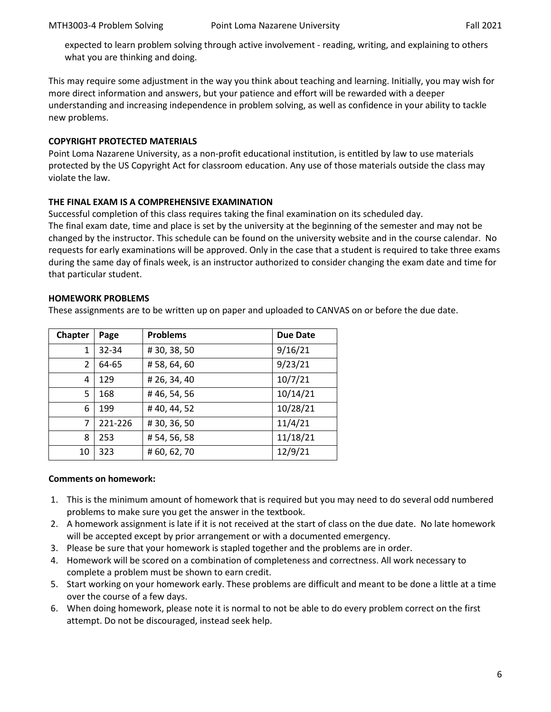expected to learn problem solving through active involvement - reading, writing, and explaining to others what you are thinking and doing.

This may require some adjustment in the way you think about teaching and learning. Initially, you may wish for more direct information and answers, but your patience and effort will be rewarded with a deeper understanding and increasing independence in problem solving, as well as confidence in your ability to tackle new problems.

#### **COPYRIGHT PROTECTED MATERIALS**

Point Loma Nazarene University, as a non-profit educational institution, is entitled by law to use materials protected by the US Copyright Act for classroom education. Any use of those materials outside the class may violate the law.

## **THE FINAL EXAM IS A COMPREHENSIVE EXAMINATION**

Successful completion of this class requires taking the final examination on its scheduled day. The final exam date, time and place is set by the university at the beginning of the semester and may not be changed by the instructor. This schedule can be found on the university website and in the course calendar. No requests for early examinations will be approved. Only in the case that a student is required to take three exams during the same day of finals week, is an instructor authorized to consider changing the exam date and time for that particular student.

## **HOMEWORK PROBLEMS**

These assignments are to be written up on paper and uploaded to CANVAS on or before the due date.

| <b>Chapter</b> | Page  | <b>Problems</b> | <b>Due Date</b> |  |
|----------------|-------|-----------------|-----------------|--|
| 1              | 32-34 | #30,38,50       | 9/16/21         |  |
| 2              | 64-65 | #58,64,60       | 9/23/21         |  |
| 4              | 129   | # 26, 34, 40    | 10/7/21         |  |
| 5              | 168   | #46,54,56       | 10/14/21        |  |
| 6              | 199   | #40,44,52       | 10/28/21        |  |
| 7<br>221-226   |       | #30,36,50       | 11/4/21         |  |
| 253<br>8       |       | #54,56,58       | 11/18/21        |  |
| 10             | 323   | #60,62,70       | 12/9/21         |  |

#### **Comments on homework:**

- 1. This is the minimum amount of homework that is required but you may need to do several odd numbered problems to make sure you get the answer in the textbook.
- 2. A homework assignment is late if it is not received at the start of class on the due date. No late homework will be accepted except by prior arrangement or with a documented emergency.
- 3. Please be sure that your homework is stapled together and the problems are in order.
- 4. Homework will be scored on a combination of completeness and correctness. All work necessary to complete a problem must be shown to earn credit.
- 5. Start working on your homework early. These problems are difficult and meant to be done a little at a time over the course of a few days.
- 6. When doing homework, please note it is normal to not be able to do every problem correct on the first attempt. Do not be discouraged, instead seek help.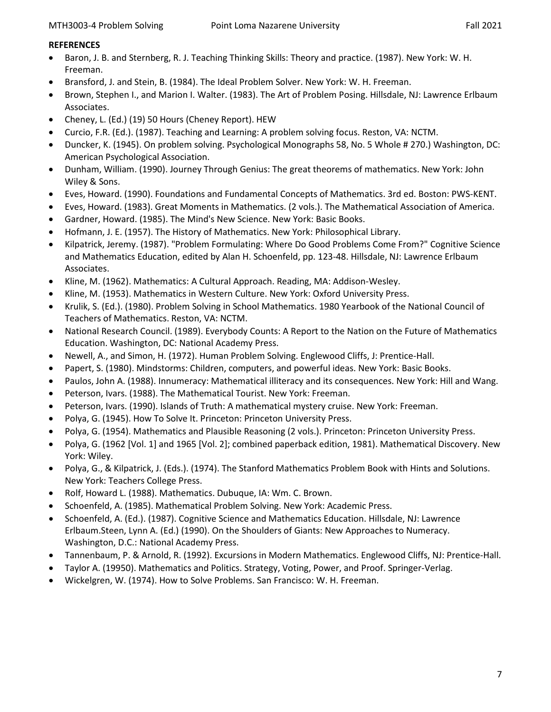#### **REFERENCES**

- Baron, J. B. and Sternberg, R. J. Teaching Thinking Skills: Theory and practice. (1987). New York: W. H. Freeman.
- Bransford, J. and Stein, B. (1984). The Ideal Problem Solver. New York: W. H. Freeman.
- Brown, Stephen I., and Marion I. Walter. (1983). The Art of Problem Posing. Hillsdale, NJ: Lawrence Erlbaum Associates.
- Cheney, L. (Ed.) (19) 50 Hours (Cheney Report). HEW
- Curcio, F.R. (Ed.). (1987). Teaching and Learning: A problem solving focus. Reston, VA: NCTM.
- Duncker, K. (1945). On problem solving. Psychological Monographs 58, No. 5 Whole # 270.) Washington, DC: American Psychological Association.
- Dunham, William. (1990). Journey Through Genius: The great theorems of mathematics. New York: John Wiley & Sons.
- Eves, Howard. (1990). Foundations and Fundamental Concepts of Mathematics. 3rd ed. Boston: PWS-KENT.
- Eves, Howard. (1983). Great Moments in Mathematics. (2 vols.). The Mathematical Association of America.
- Gardner, Howard. (1985). The Mind's New Science. New York: Basic Books.
- Hofmann, J. E. (1957). The History of Mathematics. New York: Philosophical Library.
- Kilpatrick, Jeremy. (1987). "Problem Formulating: Where Do Good Problems Come From?" Cognitive Science and Mathematics Education, edited by Alan H. Schoenfeld, pp. 123-48. Hillsdale, NJ: Lawrence Erlbaum Associates.
- Kline, M. (1962). Mathematics: A Cultural Approach. Reading, MA: Addison-Wesley.
- Kline, M. (1953). Mathematics in Western Culture. New York: Oxford University Press.
- Krulik, S. (Ed.). (1980). Problem Solving in School Mathematics. 1980 Yearbook of the National Council of Teachers of Mathematics. Reston, VA: NCTM.
- National Research Council. (1989). Everybody Counts: A Report to the Nation on the Future of Mathematics Education. Washington, DC: National Academy Press.
- Newell, A., and Simon, H. (1972). Human Problem Solving. Englewood Cliffs, J: Prentice-Hall.
- Papert, S. (1980). Mindstorms: Children, computers, and powerful ideas. New York: Basic Books.
- Paulos, John A. (1988). Innumeracy: Mathematical illiteracy and its consequences. New York: Hill and Wang.
- Peterson, Ivars. (1988). The Mathematical Tourist. New York: Freeman.
- Peterson, Ivars. (1990). Islands of Truth: A mathematical mystery cruise. New York: Freeman.
- Polya, G. (1945). How To Solve It. Princeton: Princeton University Press.
- Polya, G. (1954). Mathematics and Plausible Reasoning (2 vols.). Princeton: Princeton University Press.
- Polya, G. (1962 [Vol. 1] and 1965 [Vol. 2]; combined paperback edition, 1981). Mathematical Discovery. New York: Wiley.
- Polya, G., & Kilpatrick, J. (Eds.). (1974). The Stanford Mathematics Problem Book with Hints and Solutions. New York: Teachers College Press.
- Rolf, Howard L. (1988). Mathematics. Dubuque, IA: Wm. C. Brown.
- Schoenfeld, A. (1985). Mathematical Problem Solving. New York: Academic Press.
- Schoenfeld, A. (Ed.). (1987). Cognitive Science and Mathematics Education. Hillsdale, NJ: Lawrence Erlbaum.Steen, Lynn A. (Ed.) (1990). On the Shoulders of Giants: New Approaches to Numeracy. Washington, D.C.: National Academy Press.
- Tannenbaum, P. & Arnold, R. (1992). Excursions in Modern Mathematics. Englewood Cliffs, NJ: Prentice-Hall.
- Taylor A. (19950). Mathematics and Politics. Strategy, Voting, Power, and Proof. Springer-Verlag.
- Wickelgren, W. (1974). How to Solve Problems. San Francisco: W. H. Freeman.